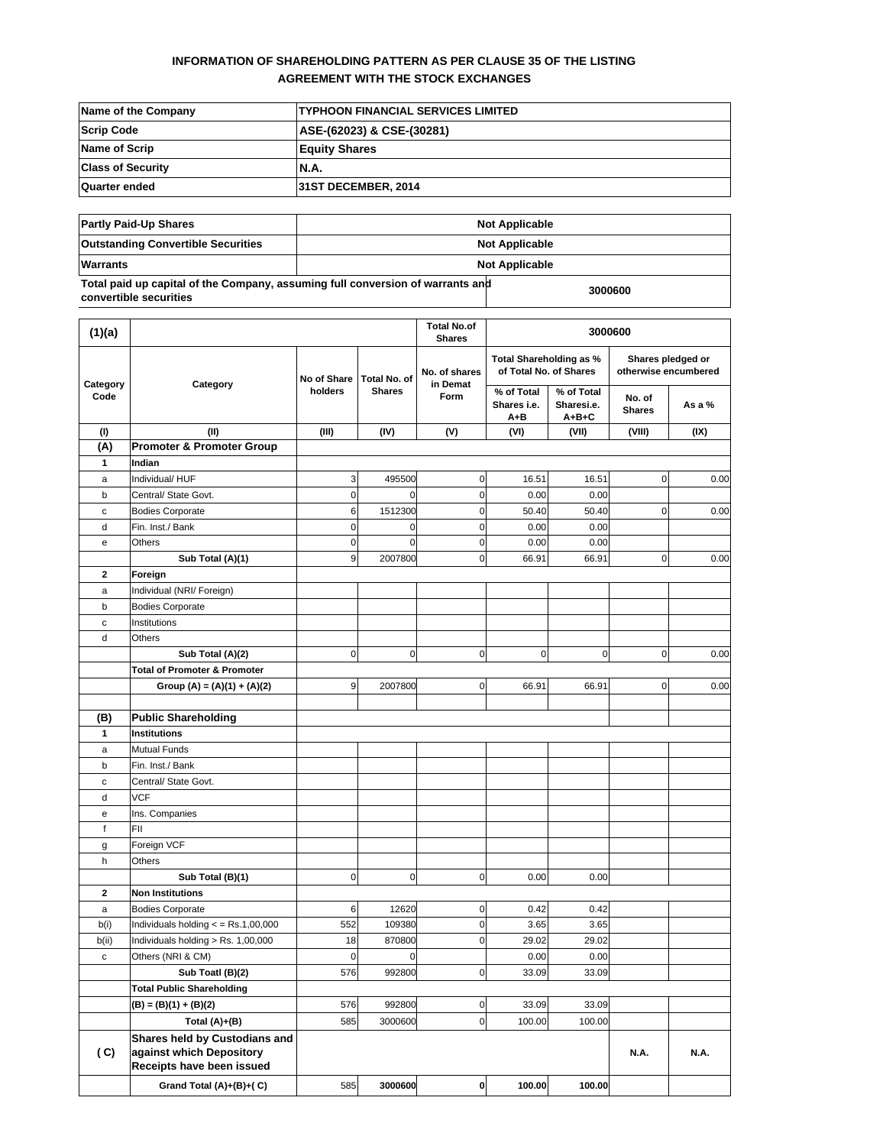# **INFORMATION OF SHAREHOLDING PATTERN AS PER CLAUSE 35 OF THE LISTING AGREEMENT WITH THE STOCK EXCHANGES**

| Name of the Company      | <b>ITYPHOON FINANCIAL SERVICES LIMITED</b> |
|--------------------------|--------------------------------------------|
| <b>Scrip Code</b>        | ASE-(62023) & CSE-(30281)                  |
| <b>Name of Scrip</b>     | <b>Equity Shares</b>                       |
| <b>Class of Security</b> | IN.A.                                      |
| Quarter ended            | <b>31ST DECEMBER, 2014</b>                 |

| <b>Partly Paid-Up Shares</b>                                                                             |                       | <b>Not Applicable</b> |  |
|----------------------------------------------------------------------------------------------------------|-----------------------|-----------------------|--|
| <b>Outstanding Convertible Securities</b>                                                                |                       | <b>Not Applicable</b> |  |
| <b>Warrants</b>                                                                                          | <b>Not Applicable</b> |                       |  |
| Total paid up capital of the Company, assuming full conversion of warrants and<br>convertible securities | 3000600               |                       |  |

| (1)(a)           |                                                                                        |                                        | <b>Total No.of</b><br><b>Shares</b> |                     |                                                   | 3000600                          |                                           |                         |
|------------------|----------------------------------------------------------------------------------------|----------------------------------------|-------------------------------------|---------------------|---------------------------------------------------|----------------------------------|-------------------------------------------|-------------------------|
|                  |                                                                                        | No of Share<br>Total No. of<br>holders |                                     | No. of shares       | Total Shareholding as %<br>of Total No. of Shares |                                  | Shares pledged or<br>otherwise encumbered |                         |
| Category<br>Code | Category                                                                               |                                        | <b>Shares</b>                       |                     | in Demat<br>Form                                  | % of Total<br>Shares i.e.<br>A+B | % of Total<br>Sharesi.e.<br>$A + B + C$   | No. of<br><b>Shares</b> |
| (1)              | (II)                                                                                   | (III)                                  | (IV)                                | (V)                 | (VI)                                              | (VII)                            | (VIII)                                    | (IX)                    |
| (A)              | <b>Promoter &amp; Promoter Group</b>                                                   |                                        |                                     |                     |                                                   |                                  |                                           |                         |
| 1                | Indian                                                                                 |                                        |                                     |                     |                                                   |                                  |                                           |                         |
| a                | Individual/ HUF                                                                        | 3                                      | 495500                              | $\mathsf{O}\xspace$ | 16.51                                             | 16.51                            | $\mathbf 0$                               | 0.00                    |
| b                | Central/ State Govt.                                                                   | $\pmb{0}$                              | 0                                   | $\mathsf{O}\xspace$ | 0.00                                              | 0.00                             |                                           |                         |
| с                | <b>Bodies Corporate</b>                                                                | 6                                      | 1512300                             | $\mathbf 0$         | 50.40                                             | 50.40                            | $\mathbf 0$                               | 0.00                    |
| d                | Fin. Inst./ Bank                                                                       | 0                                      | $\mathbf 0$                         | $\mathbf 0$         | 0.00                                              | 0.00                             |                                           |                         |
| е                | Others                                                                                 | $\pmb{0}$                              | $\mathbf 0$                         | $\mathbf 0$         | 0.00                                              | 0.00                             |                                           |                         |
|                  | Sub Total (A)(1)                                                                       | 9                                      | 2007800                             | $\mathsf{O}\xspace$ | 66.91                                             | 66.91                            | $\mathbf 0$                               | 0.00                    |
| 2                | Foreign                                                                                |                                        |                                     |                     |                                                   |                                  |                                           |                         |
| a                | Individual (NRI/ Foreign)                                                              |                                        |                                     |                     |                                                   |                                  |                                           |                         |
| b                | <b>Bodies Corporate</b>                                                                |                                        |                                     |                     |                                                   |                                  |                                           |                         |
| с                | Institutions                                                                           |                                        |                                     |                     |                                                   |                                  |                                           |                         |
| d                | Others                                                                                 |                                        |                                     |                     |                                                   |                                  |                                           |                         |
|                  | Sub Total (A)(2)                                                                       | $\mathbf 0$                            | $\mathbf 0$                         | $\mathbf 0$         | $\overline{0}$                                    | $\mathbf 0$                      | $\mathbf 0$                               | 0.00                    |
|                  | <b>Total of Promoter &amp; Promoter</b>                                                |                                        |                                     |                     |                                                   |                                  |                                           |                         |
|                  | Group (A) = (A)(1) + (A)(2)                                                            | 9                                      | 2007800                             | $\mathbf 0$         | 66.91                                             | 66.91                            | $\mathbf 0$                               | 0.00                    |
|                  |                                                                                        |                                        |                                     |                     |                                                   |                                  |                                           |                         |
| (B)              | <b>Public Shareholding</b>                                                             |                                        |                                     |                     |                                                   |                                  |                                           |                         |
| 1                | <b>Institutions</b>                                                                    |                                        |                                     |                     |                                                   |                                  |                                           |                         |
| a                | <b>Mutual Funds</b>                                                                    |                                        |                                     |                     |                                                   |                                  |                                           |                         |
| b                | Fin. Inst./ Bank                                                                       |                                        |                                     |                     |                                                   |                                  |                                           |                         |
| с                | Central/ State Govt.                                                                   |                                        |                                     |                     |                                                   |                                  |                                           |                         |
| d                | <b>VCF</b>                                                                             |                                        |                                     |                     |                                                   |                                  |                                           |                         |
| е                | Ins. Companies                                                                         |                                        |                                     |                     |                                                   |                                  |                                           |                         |
| $\mathsf{f}$     | FII                                                                                    |                                        |                                     |                     |                                                   |                                  |                                           |                         |
| g                | Foreign VCF                                                                            |                                        |                                     |                     |                                                   |                                  |                                           |                         |
| h                | Others                                                                                 |                                        |                                     |                     |                                                   |                                  |                                           |                         |
|                  | Sub Total (B)(1)                                                                       | $\pmb{0}$                              | $\mathbf 0$                         | $\mathbf 0$         | 0.00                                              | 0.00                             |                                           |                         |
| $\mathbf{2}$     | <b>Non Institutions</b>                                                                |                                        |                                     |                     |                                                   |                                  |                                           |                         |
| a                | <b>Bodies Corporate</b>                                                                | 6                                      | 12620                               | $\mathsf{O}\xspace$ | 0.42                                              | 0.42                             |                                           |                         |
| b(i)             | Individuals holding $\epsilon$ = Rs.1,00,000                                           | 552                                    | 109380                              | $\mathsf{O}\xspace$ | 3.65                                              | 3.65                             |                                           |                         |
| b(ii)            | Individuals holding > Rs. 1,00,000                                                     | 18                                     | 870800                              | $\mathsf{O}\xspace$ | 29.02                                             | 29.02                            |                                           |                         |
| с                | Others (NRI & CM)                                                                      | $\mathbf 0$                            | $\mathbf 0$                         |                     | 0.00                                              | 0.00                             |                                           |                         |
|                  | Sub Toatl (B)(2)                                                                       | 576                                    | 992800                              | 0                   | 33.09                                             | 33.09                            |                                           |                         |
|                  | <b>Total Public Shareholding</b>                                                       |                                        |                                     |                     |                                                   |                                  |                                           |                         |
|                  | $(B) = (B)(1) + (B)(2)$                                                                | 576                                    | 992800                              | $\mathbf 0$         | 33.09                                             | 33.09                            |                                           |                         |
|                  | Total (A)+(B)                                                                          | 585                                    | 3000600                             | $\overline{0}$      | 100.00                                            | 100.00                           |                                           |                         |
| (C)              | Shares held by Custodians and<br>against which Depository<br>Receipts have been issued |                                        |                                     |                     |                                                   |                                  | <b>N.A.</b>                               | <b>N.A.</b>             |
|                  | Grand Total (A)+(B)+(C)                                                                | 585                                    | 3000600                             | $\mathbf{0}$        | 100.00                                            | 100.00                           |                                           |                         |